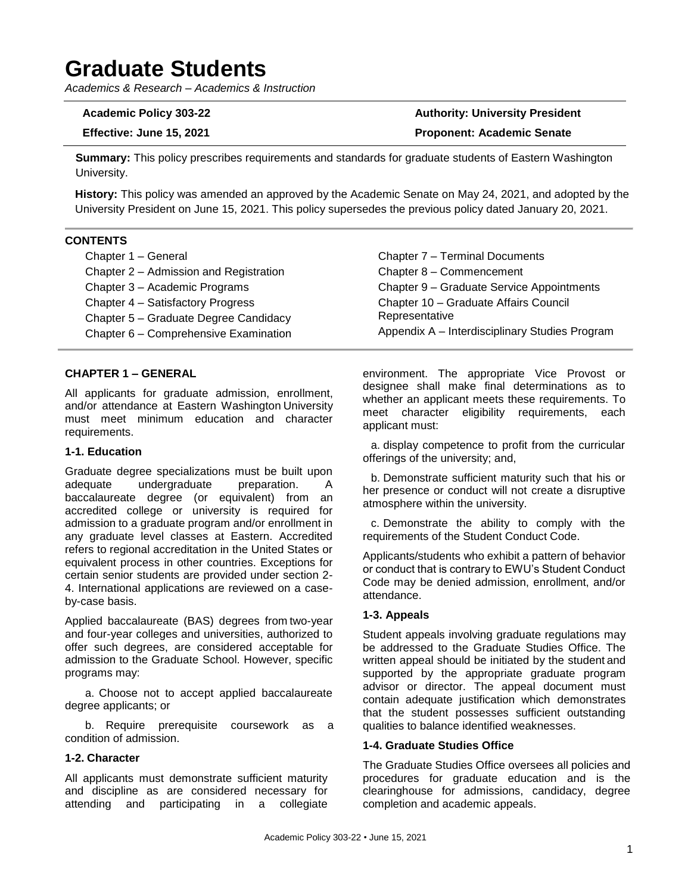# **Graduate Students**

*Academics & Research – Academics & Instruction*

**Academic Policy 303-22 Authority: University President Effective: June 15, 2021 Proponent: Academic Senate**

**Summary:** This policy prescribes requirements and standards for graduate students of Eastern Washington University.

**History:** This policy was amended an approved by the Academic Senate on May 24, 2021, and adopted by the University President on June 15, 2021. This policy supersedes the previous policy dated January 20, 2021.

# **CONTENTS**

| Chapter 1 - General                    | Chapter 7 - Terminal Documents                 |
|----------------------------------------|------------------------------------------------|
| Chapter 2 - Admission and Registration | Chapter 8 - Commencement                       |
| Chapter 3 - Academic Programs          | Chapter 9 - Graduate Service Appointments      |
| Chapter 4 - Satisfactory Progress      | Chapter 10 - Graduate Affairs Council          |
| Chapter 5 - Graduate Degree Candidacy  | Representative                                 |
| Chapter 6 - Comprehensive Examination  | Appendix A - Interdisciplinary Studies Program |

# **CHAPTER 1 – GENERAL**

All applicants for graduate admission, enrollment, and/or attendance at Eastern Washington University must meet minimum education and character requirements.

# **1-1. Education**

Graduate degree specializations must be built upon adequate undergraduate preparation. A baccalaureate degree (or equivalent) from an accredited college or university is required for admission to a graduate program and/or enrollment in any graduate level classes at Eastern. Accredited refers to regional accreditation in the United States or equivalent process in other countries. Exceptions for certain senior students are provided under section 2- 4. International applications are reviewed on a caseby-case basis.

Applied baccalaureate (BAS) degrees from two-year and four-year colleges and universities, authorized to offer such degrees, are considered acceptable for admission to the Graduate School. However, specific programs may:

a. Choose not to accept applied baccalaureate degree applicants; or

b. Require prerequisite coursework as a condition of admission.

# **1-2. Character**

All applicants must demonstrate sufficient maturity and discipline as are considered necessary for attending and participating in a collegiate

environment. The appropriate Vice Provost or designee shall make final determinations as to whether an applicant meets these requirements. To meet character eligibility requirements, each applicant must:

a. display competence to profit from the curricular offerings of the university; and,

b. Demonstrate sufficient maturity such that his or her presence or conduct will not create a disruptive atmosphere within the university.

c. Demonstrate the ability to comply with the requirements of the Student Conduct Code.

Applicants/students who exhibit a pattern of behavior or conduct that is contrary to EWU's Student Conduct Code may be denied admission, enrollment, and/or attendance.

# **1-3. Appeals**

Student appeals involving graduate regulations may be addressed to the Graduate Studies Office. The written appeal should be initiated by the student and supported by the appropriate graduate program advisor or director. The appeal document must contain adequate justification which demonstrates that the student possesses sufficient outstanding qualities to balance identified weaknesses.

# **1-4. Graduate Studies Office**

The Graduate Studies Office oversees all policies and procedures for graduate education and is the clearinghouse for admissions, candidacy, degree completion and academic appeals.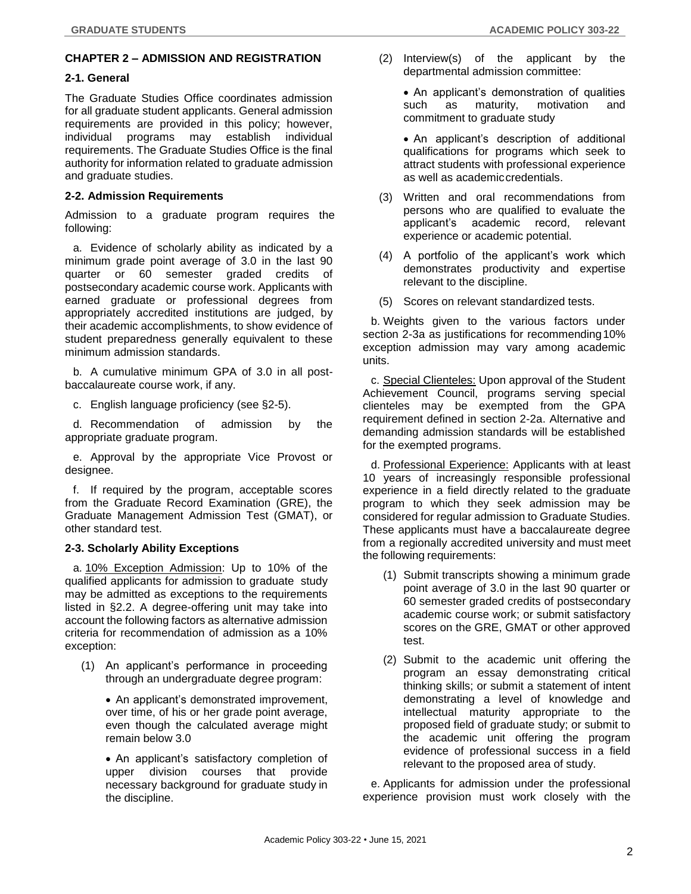# **CHAPTER 2 – ADMISSION AND REGISTRATION**

# **2-1. General**

The Graduate Studies Office coordinates admission for all graduate student applicants. General admission requirements are provided in this policy; however, individual programs may establish individual requirements. The Graduate Studies Office is the final authority for information related to graduate admission and graduate studies.

# **2-2. Admission Requirements**

Admission to a graduate program requires the following:

a. Evidence of scholarly ability as indicated by a minimum grade point average of 3.0 in the last 90 quarter or 60 semester graded credits of postsecondary academic course work. Applicants with earned graduate or professional degrees from appropriately accredited institutions are judged, by their academic accomplishments, to show evidence of student preparedness generally equivalent to these minimum admission standards.

b. A cumulative minimum GPA of 3.0 in all postbaccalaureate course work, if any.

c. English language proficiency (see §2-5).

d. Recommendation of admission by the appropriate graduate program.

e. Approval by the appropriate Vice Provost or designee.

f. If required by the program, acceptable scores from the Graduate Record Examination (GRE), the Graduate Management Admission Test (GMAT), or other standard test.

# **2-3. Scholarly Ability Exceptions**

a. 10% Exception Admission: Up to 10% of the qualified applicants for admission to graduate study may be admitted as exceptions to the requirements listed in §2.2. A degree-offering unit may take into account the following factors as alternative admission criteria for recommendation of admission as a 10% exception:

(1) An applicant's performance in proceeding through an undergraduate degree program:

• An applicant's demonstrated improvement, over time, of his or her grade point average, even though the calculated average might remain below 3.0

• An applicant's satisfactory completion of upper division courses that provide necessary background for graduate study in the discipline.

(2) Interview(s) of the applicant by the departmental admission committee:

• An applicant's demonstration of qualities such as maturity, motivation and commitment to graduate study

• An applicant's description of additional qualifications for programs which seek to attract students with professional experience as well as academiccredentials.

- (3) Written and oral recommendations from persons who are qualified to evaluate the applicant's academic record, relevant experience or academic potential.
- (4) A portfolio of the applicant's work which demonstrates productivity and expertise relevant to the discipline.
- (5) Scores on relevant standardized tests.

b. Weights given to the various factors under section 2-3a as justifications for recommending 10% exception admission may vary among academic units.

c. Special Clienteles: Upon approval of the Student Achievement Council, programs serving special clienteles may be exempted from the GPA requirement defined in section 2-2a. Alternative and demanding admission standards will be established for the exempted programs.

d. Professional Experience: Applicants with at least 10 years of increasingly responsible professional experience in a field directly related to the graduate program to which they seek admission may be considered for regular admission to Graduate Studies. These applicants must have a baccalaureate degree from a regionally accredited university and must meet the following requirements:

- (1) Submit transcripts showing a minimum grade point average of 3.0 in the last 90 quarter or 60 semester graded credits of postsecondary academic course work; or submit satisfactory scores on the GRE, GMAT or other approved test.
- (2) Submit to the academic unit offering the program an essay demonstrating critical thinking skills; or submit a statement of intent demonstrating a level of knowledge and intellectual maturity appropriate to the proposed field of graduate study; or submit to the academic unit offering the program evidence of professional success in a field relevant to the proposed area of study.

e. Applicants for admission under the professional experience provision must work closely with the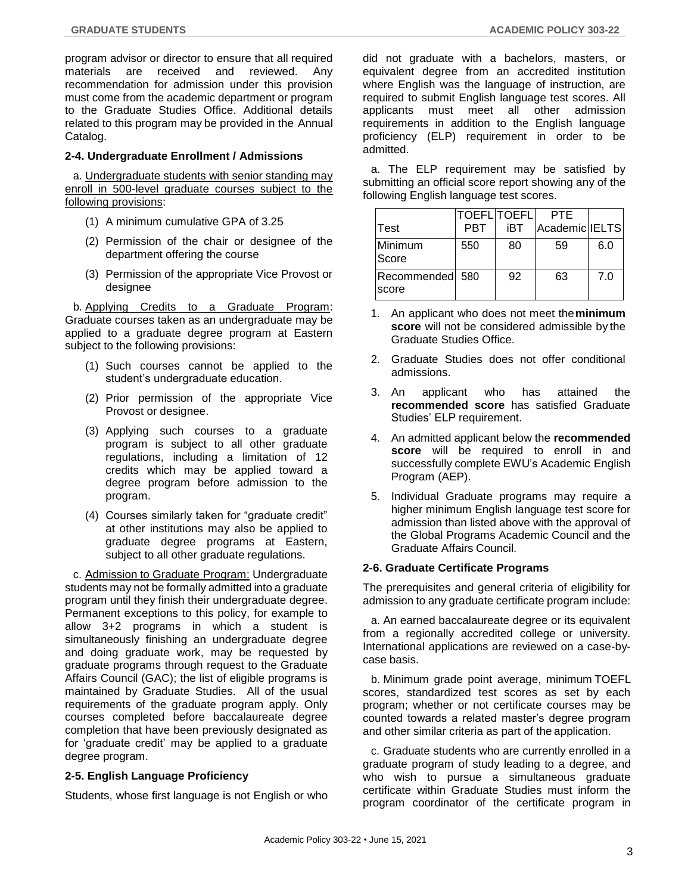program advisor or director to ensure that all required materials are received and reviewed. Any recommendation for admission under this provision must come from the academic department or program to the Graduate Studies Office. Additional details related to this program may be provided in the Annual Catalog.

# **2-4. Undergraduate Enrollment / Admissions**

a. Undergraduate students with senior standing may enroll in 500-level graduate courses subject to the following provisions:

- (1) A minimum cumulative GPA of 3.25
- (2) Permission of the chair or designee of the department offering the course
- (3) Permission of the appropriate Vice Provost or designee

b. Applying Credits to a Graduate Program: Graduate courses taken as an undergraduate may be applied to a graduate degree program at Eastern subject to the following provisions:

- (1) Such courses cannot be applied to the student's undergraduate education.
- (2) Prior permission of the appropriate Vice Provost or designee.
- (3) Applying such courses to a graduate program is subject to all other graduate regulations, including a limitation of 12 credits which may be applied toward a degree program before admission to the program.
- (4) Courses similarly taken for "graduate credit" at other institutions may also be applied to graduate degree programs at Eastern, subject to all other graduate regulations.

c. Admission to Graduate Program: Undergraduate students may not be formally admitted into a graduate program until they finish their undergraduate degree. Permanent exceptions to this policy, for example to allow 3+2 programs in which a student is simultaneously finishing an undergraduate degree and doing graduate work, may be requested by graduate programs through request to the Graduate Affairs Council (GAC); the list of eligible programs is maintained by Graduate Studies. All of the usual requirements of the graduate program apply. Only courses completed before baccalaureate degree completion that have been previously designated as for 'graduate credit' may be applied to a graduate degree program.

# **2-5. English Language Proficiency**

Students, whose first language is not English or who

did not graduate with a bachelors, masters, or equivalent degree from an accredited institution where English was the language of instruction, are required to submit English language test scores. All applicants must meet all other admission requirements in addition to the English language proficiency (ELP) requirement in order to be admitted.

a. The ELP requirement may be satisfied by submitting an official score report showing any of the following English language test scores.

|                          |            | <b>TOEFL TOEFL</b> | <b>PTF</b>     |     |
|--------------------------|------------|--------------------|----------------|-----|
| Test                     | <b>PBT</b> | iBT                | Academic IELTS |     |
| <b>Minimum</b><br>Score  | 550        | 80                 | 59             | 6.0 |
| Recommended 580<br>score |            | 92                 | 63             | 7.0 |

- 1. An applicant who does not meet the**minimum score** will not be considered admissible by the Graduate Studies Office.
- 2. Graduate Studies does not offer conditional admissions.
- 3. An applicant who has attained the **recommended score** has satisfied Graduate Studies' ELP requirement.
- 4. An admitted applicant below the **recommended score** will be required to enroll in and successfully complete EWU's Academic English Program (AEP).
- 5. Individual Graduate programs may require a higher minimum English language test score for admission than listed above with the approval of the Global Programs Academic Council and the Graduate Affairs Council.

# **2-6. Graduate Certificate Programs**

The prerequisites and general criteria of eligibility for admission to any graduate certificate program include:

a. An earned baccalaureate degree or its equivalent from a regionally accredited college or university. International applications are reviewed on a case-bycase basis.

b. Minimum grade point average, minimum TOEFL scores, standardized test scores as set by each program; whether or not certificate courses may be counted towards a related master's degree program and other similar criteria as part of the application.

c. Graduate students who are currently enrolled in a graduate program of study leading to a degree, and who wish to pursue a simultaneous graduate certificate within Graduate Studies must inform the program coordinator of the certificate program in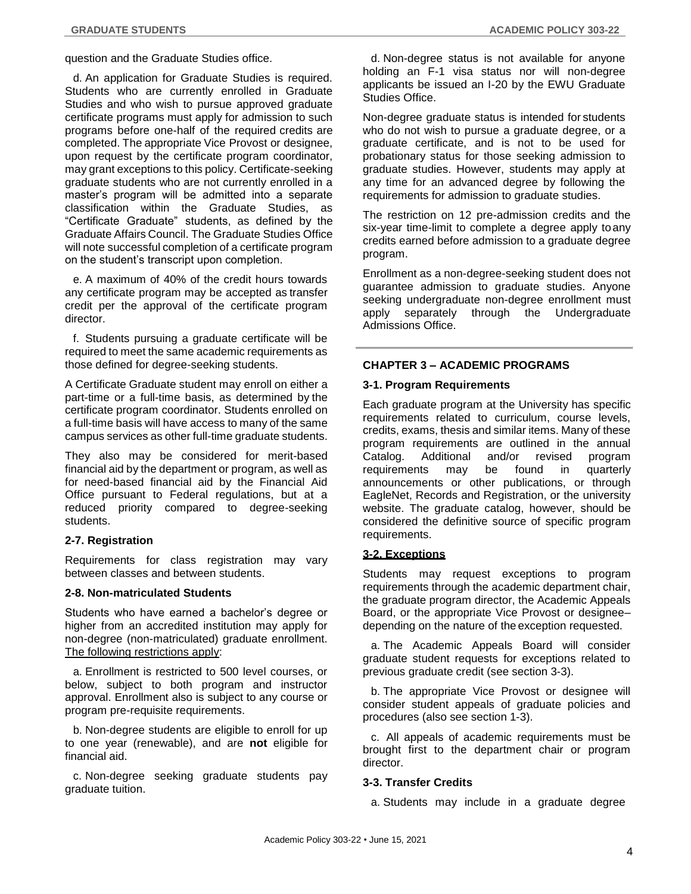question and the Graduate Studies office.

d. An application for Graduate Studies is required. Students who are currently enrolled in Graduate Studies and who wish to pursue approved graduate certificate programs must apply for admission to such programs before one-half of the required credits are completed. The appropriate Vice Provost or designee, upon request by the certificate program coordinator, may grant exceptions to this policy. Certificate-seeking graduate students who are not currently enrolled in a master's program will be admitted into a separate classification within the Graduate Studies, as "Certificate Graduate" students, as defined by the Graduate Affairs Council. The Graduate Studies Office will note successful completion of a certificate program on the student's transcript upon completion.

e. A maximum of 40% of the credit hours towards any certificate program may be accepted as transfer credit per the approval of the certificate program director.

f. Students pursuing a graduate certificate will be required to meet the same academic requirements as those defined for degree-seeking students.

A Certificate Graduate student may enroll on either a part-time or a full-time basis, as determined by the certificate program coordinator. Students enrolled on a full-time basis will have access to many of the same campus services as other full-time graduate students.

They also may be considered for merit-based financial aid by the department or program, as well as for need-based financial aid by the Financial Aid Office pursuant to Federal regulations, but at a reduced priority compared to degree-seeking students.

# **2-7. Registration**

Requirements for class registration may vary between classes and between students.

### **2-8. Non-matriculated Students**

Students who have earned a bachelor's degree or higher from an accredited institution may apply for non-degree (non-matriculated) graduate enrollment. The following restrictions apply:

a. Enrollment is restricted to 500 level courses, or below, subject to both program and instructor approval. Enrollment also is subject to any course or program pre-requisite requirements.

b. Non-degree students are eligible to enroll for up to one year (renewable), and are **not** eligible for financial aid.

c. Non-degree seeking graduate students pay graduate tuition.

d. Non-degree status is not available for anyone holding an F-1 visa status nor will non-degree applicants be issued an I-20 by the EWU Graduate Studies Office.

Non-degree graduate status is intended for students who do not wish to pursue a graduate degree, or a graduate certificate, and is not to be used for probationary status for those seeking admission to graduate studies. However, students may apply at any time for an advanced degree by following the requirements for admission to graduate studies.

The restriction on 12 pre-admission credits and the six-year time-limit to complete a degree apply toany credits earned before admission to a graduate degree program.

Enrollment as a non-degree-seeking student does not guarantee admission to graduate studies. Anyone seeking undergraduate non-degree enrollment must apply separately through the Undergraduate Admissions Office.

# **CHAPTER 3 – ACADEMIC PROGRAMS**

# **3-1. Program Requirements**

Each graduate program at the University has specific requirements related to curriculum, course levels, credits, exams, thesis and similar items. Many of these program requirements are outlined in the annual Catalog. Additional and/or revised program requirements may be found in quarterly announcements or other publications, or through EagleNet, Records and Registration, or the university website. The graduate catalog, however, should be considered the definitive source of specific program requirements.

# **3-2. Exceptions**

Students may request exceptions to program requirements through the academic department chair, the graduate program director, the Academic Appeals Board, or the appropriate Vice Provost or designee– depending on the nature of the exception requested.

a. The Academic Appeals Board will consider graduate student requests for exceptions related to previous graduate credit (see section 3-3).

b. The appropriate Vice Provost or designee will consider student appeals of graduate policies and procedures (also see section 1-3).

c. All appeals of academic requirements must be brought first to the department chair or program director.

# **3-3. Transfer Credits**

a. Students may include in a graduate degree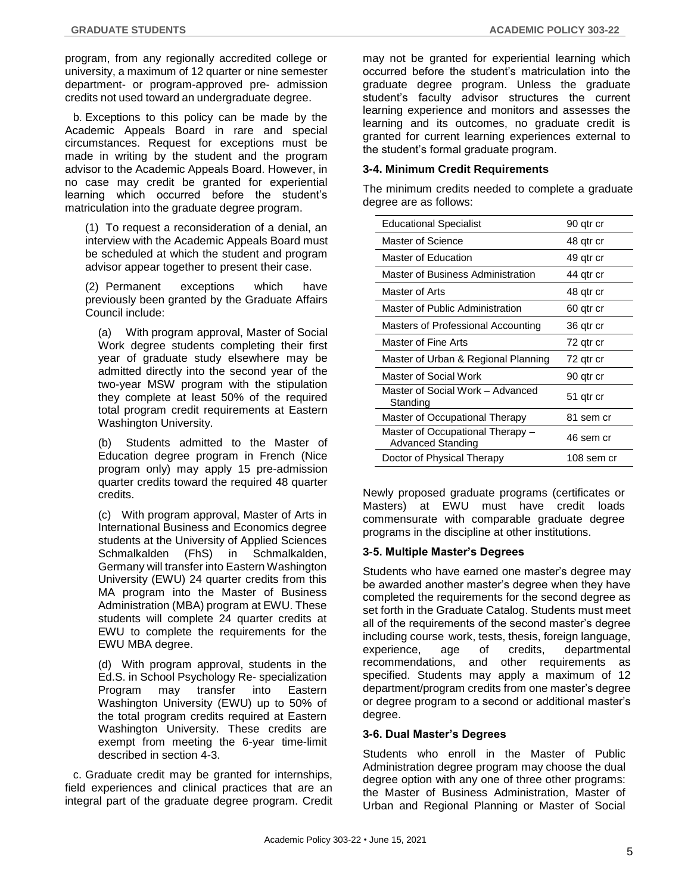program, from any regionally accredited college or university, a maximum of 12 quarter or nine semester department- or program-approved pre- admission credits not used toward an undergraduate degree.

b. Exceptions to this policy can be made by the Academic Appeals Board in rare and special circumstances. Request for exceptions must be made in writing by the student and the program advisor to the Academic Appeals Board. However, in no case may credit be granted for experiential learning which occurred before the student's matriculation into the graduate degree program.

(1) To request a reconsideration of a denial, an interview with the Academic Appeals Board must be scheduled at which the student and program advisor appear together to present their case.

(2) Permanent exceptions which have previously been granted by the Graduate Affairs Council include:

(a) With program approval, Master of Social Work degree students completing their first year of graduate study elsewhere may be admitted directly into the second year of the two-year MSW program with the stipulation they complete at least 50% of the required total program credit requirements at Eastern Washington University.

(b) Students admitted to the Master of Education degree program in French (Nice program only) may apply 15 pre-admission quarter credits toward the required 48 quarter credits.

(c) With program approval, Master of Arts in International Business and Economics degree students at the University of Applied Sciences Schmalkalden (FhS) in Schmalkalden, Germany will transfer into Eastern Washington University (EWU) 24 quarter credits from this MA program into the Master of Business Administration (MBA) program at EWU. These students will complete 24 quarter credits at EWU to complete the requirements for the EWU MBA degree.

(d) With program approval, students in the Ed.S. in School Psychology Re- specialization Program may transfer into Eastern Washington University (EWU) up to 50% of the total program credits required at Eastern Washington University. These credits are exempt from meeting the 6-year time-limit described in section 4-3.

c. Graduate credit may be granted for internships, field experiences and clinical practices that are an integral part of the graduate degree program. Credit may not be granted for experiential learning which occurred before the student's matriculation into the graduate degree program. Unless the graduate student's faculty advisor structures the current learning experience and monitors and assesses the learning and its outcomes, no graduate credit is granted for current learning experiences external to the student's formal graduate program.

# **3-4. Minimum Credit Requirements**

The minimum credits needed to complete a graduate degree are as follows:

| <b>Educational Specialist</b>                         | 90 qtr cr  |
|-------------------------------------------------------|------------|
| Master of Science                                     | 48 gtr cr  |
| Master of Education                                   | 49 qtr cr  |
| Master of Business Administration                     | 44 gtr cr  |
| Master of Arts                                        | 48 gtr cr  |
| Master of Public Administration                       | 60 qtr cr  |
| Masters of Professional Accounting                    | 36 qtr cr  |
| Master of Fine Arts                                   | 72 gtr cr  |
| Master of Urban & Regional Planning                   | 72 qtr cr  |
| Master of Social Work                                 | 90 gtr cr  |
| Master of Social Work - Advanced<br>Standing          | 51 gtr cr  |
| Master of Occupational Therapy                        | 81 sem cr  |
| Master of Occupational Therapy -<br>Advanced Standing | 46 sem cr  |
| Doctor of Physical Therapy                            | 108 sem cr |

Newly proposed graduate programs (certificates or Masters) at EWU must have credit loads commensurate with comparable graduate degree programs in the discipline at other institutions.

# **3-5. Multiple Master's Degrees**

Students who have earned one master's degree may be awarded another master's degree when they have completed the requirements for the second degree as set forth in the Graduate Catalog. Students must meet all of the requirements of the second master's degree including course work, tests, thesis, foreign language, experience, age of credits, departmental recommendations, and other requirements as specified. Students may apply a maximum of 12 department/program credits from one master's degree or degree program to a second or additional master's degree.

# **3-6. Dual Master's Degrees**

Students who enroll in the Master of Public Administration degree program may choose the dual degree option with any one of three other programs: the Master of Business Administration, Master of Urban and Regional Planning or Master of Social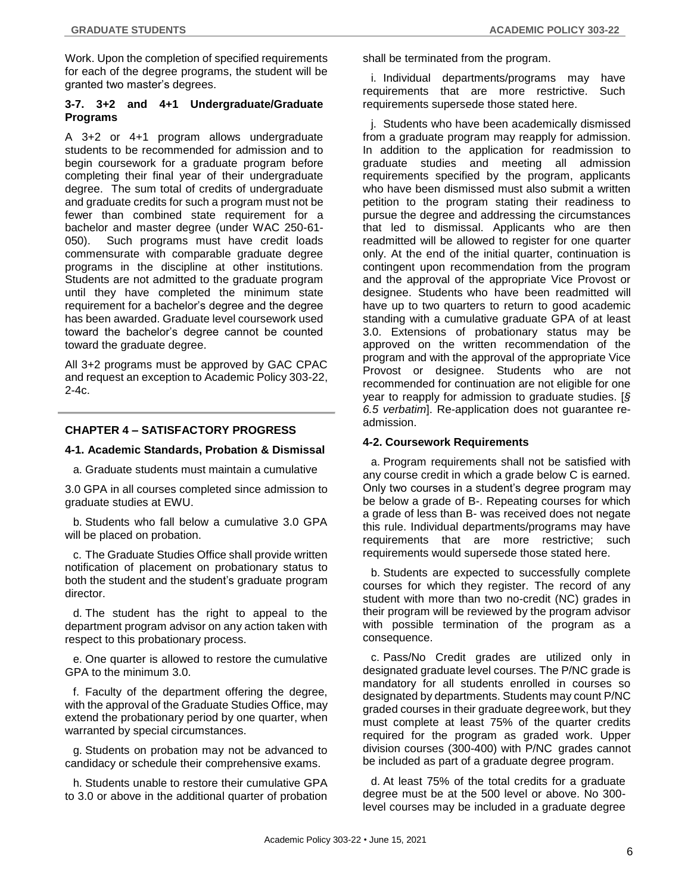Work. Upon the completion of specified requirements for each of the degree programs, the student will be granted two master's degrees.

# **3-7. 3+2 and 4+1 Undergraduate/Graduate Programs**

A 3+2 or 4+1 program allows undergraduate students to be recommended for admission and to begin coursework for a graduate program before completing their final year of their undergraduate degree. The sum total of credits of undergraduate and graduate credits for such a program must not be fewer than combined state requirement for a bachelor and master degree (under WAC 250-61- 050). Such programs must have credit loads commensurate with comparable graduate degree programs in the discipline at other institutions. Students are not admitted to the graduate program until they have completed the minimum state requirement for a bachelor's degree and the degree has been awarded. Graduate level coursework used toward the bachelor's degree cannot be counted toward the graduate degree.

All 3+2 programs must be approved by GAC CPAC and request an exception to Academic Policy 303-22, 2-4c.

# **CHAPTER 4 – SATISFACTORY PROGRESS**

#### **4-1. Academic Standards, Probation & Dismissal**

a. Graduate students must maintain a cumulative

3.0 GPA in all courses completed since admission to graduate studies at EWU.

b. Students who fall below a cumulative 3.0 GPA will be placed on probation.

c. The Graduate Studies Office shall provide written notification of placement on probationary status to both the student and the student's graduate program director.

d. The student has the right to appeal to the department program advisor on any action taken with respect to this probationary process.

e. One quarter is allowed to restore the cumulative GPA to the minimum 3.0.

f. Faculty of the department offering the degree, with the approval of the Graduate Studies Office, may extend the probationary period by one quarter, when warranted by special circumstances.

g. Students on probation may not be advanced to candidacy or schedule their comprehensive exams.

h. Students unable to restore their cumulative GPA to 3.0 or above in the additional quarter of probation shall be terminated from the program.

i. Individual departments/programs may have requirements that are more restrictive. Such requirements supersede those stated here.

j. Students who have been academically dismissed from a graduate program may reapply for admission. In addition to the application for readmission to graduate studies and meeting all admission requirements specified by the program, applicants who have been dismissed must also submit a written petition to the program stating their readiness to pursue the degree and addressing the circumstances that led to dismissal. Applicants who are then readmitted will be allowed to register for one quarter only. At the end of the initial quarter, continuation is contingent upon recommendation from the program and the approval of the appropriate Vice Provost or designee. Students who have been readmitted will have up to two quarters to return to good academic standing with a cumulative graduate GPA of at least 3.0. Extensions of probationary status may be approved on the written recommendation of the program and with the approval of the appropriate Vice Provost or designee. Students who are not recommended for continuation are not eligible for one year to reapply for admission to graduate studies. [*§ 6.5 verbatim*]. Re-application does not guarantee readmission.

# **4-2. Coursework Requirements**

a. Program requirements shall not be satisfied with any course credit in which a grade below C is earned. Only two courses in a student's degree program may be below a grade of B-. Repeating courses for which a grade of less than B- was received does not negate this rule. Individual departments/programs may have requirements that are more restrictive; such requirements would supersede those stated here.

b. Students are expected to successfully complete courses for which they register. The record of any student with more than two no-credit (NC) grades in their program will be reviewed by the program advisor with possible termination of the program as a consequence.

c. Pass/No Credit grades are utilized only in designated graduate level courses. The P/NC grade is mandatory for all students enrolled in courses so designated by departments. Students may count P/NC graded courses in their graduate degreework, but they must complete at least 75% of the quarter credits required for the program as graded work. Upper division courses (300-400) with P/NC grades cannot be included as part of a graduate degree program.

d. At least 75% of the total credits for a graduate degree must be at the 500 level or above. No 300 level courses may be included in a graduate degree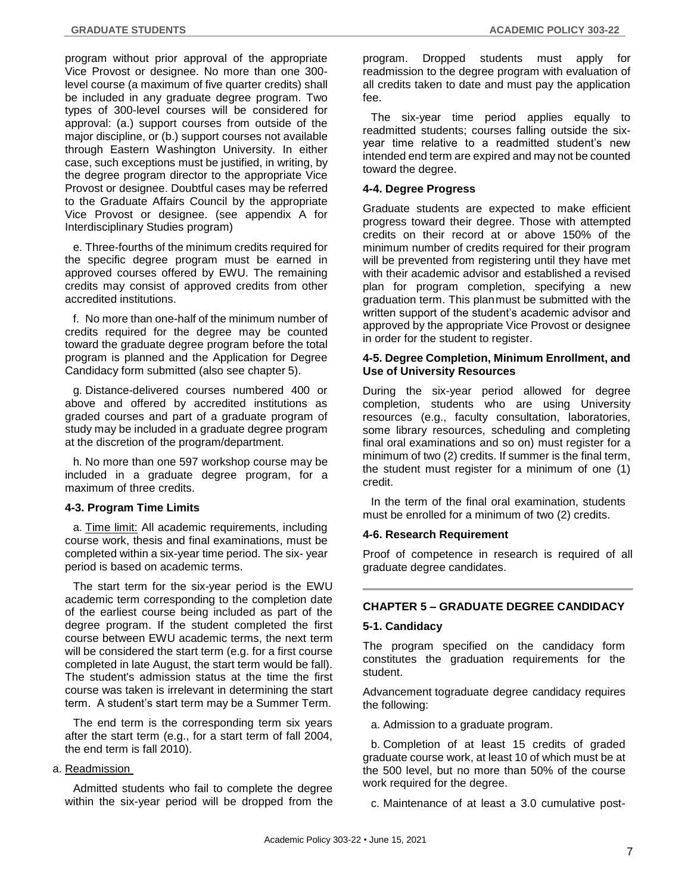program without prior approval of the appropriate Vice Provost or designee. No more than one 300 level course (a maximum of five quarter credits) shall be included in any graduate degree program. Two types of 300-level courses will be considered for approval: (a.) support courses from outside of the major discipline, or (b.) support courses not available through Eastern Washington University. In either case, such exceptions must be justified, in writing, by the degree program director to the appropriate Vice Provost or designee. Doubtful cases may be referred to the Graduate Affairs Council by the appropriate Vice Provost or designee. (see appendix A for Interdisciplinary Studies program)

e. Three-fourths of the minimum credits required for the specific degree program must be earned in approved courses offered by EWU. The remaining credits may consist of approved credits from other accredited institutions.

f. No more than one-half of the minimum number of credits required for the degree may be counted toward the graduate degree program before the total program is planned and the Application for Degree Candidacy form submitted (also see chapter 5).

g. Distance-delivered courses numbered 400 or above and offered by accredited institutions as graded courses and part of a graduate program of study may be included in a graduate degree program at the discretion of the program/department.

h. No more than one 597 workshop course may be included in a graduate degree program, for a maximum of three credits.

# **4-3. Program Time Limits**

a. Time limit: All academic requirements, including course work, thesis and final examinations, must be completed within a six-year time period. The six- year period is based on academic terms.

The start term for the six-year period is the EWU academic term corresponding to the completion date of the earliest course being included as part of the degree program. If the student completed the first course between EWU academic terms, the next term will be considered the start term (e.g. for a first course completed in late August, the start term would be fall). The student's admission status at the time the first course was taken is irrelevant in determining the start term. A student's start term may be a Summer Term.

The end term is the corresponding term six years after the start term (e.g., for a start term of fall 2004, the end term is fall 2010).

# a. Readmission

Admitted students who fail to complete the degree within the six-year period will be dropped from the

program. Dropped students must apply for readmission to the degree program with evaluation of all credits taken to date and must pay the application fee.

The six-year time period applies equally to readmitted students; courses falling outside the sixyear time relative to a readmitted student's new intended end term are expired and may not be counted toward the degree.

# **4-4. Degree Progress**

Graduate students are expected to make efficient progress toward their degree. Those with attempted credits on their record at or above 150% of the minimum number of credits required for their program will be prevented from registering until they have met with their academic advisor and established a revised plan for program completion, specifying a new graduation term. This planmust be submitted with the written support of the student's academic advisor and approved by the appropriate Vice Provost or designee in order for the student to register.

### **4-5. Degree Completion, Minimum Enrollment, and Use of University Resources**

During the six-year period allowed for degree completion, students who are using University resources (e.g., faculty consultation, laboratories, some library resources, scheduling and completing final oral examinations and so on) must register for a minimum of two (2) credits. If summer is the final term, the student must register for a minimum of one (1) credit.

In the term of the final oral examination, students must be enrolled for a minimum of two (2) credits.

# **4-6. Research Requirement**

Proof of competence in research is required of all graduate degree candidates.

# **CHAPTER 5 – GRADUATE DEGREE CANDIDACY**

# **5-1. Candidacy**

The program specified on the candidacy form constitutes the graduation requirements for the student.

Advancement tograduate degree candidacy requires the following:

a. Admission to a graduate program.

b. Completion of at least 15 credits of graded graduate course work, at least 10 of which must be at the 500 level, but no more than 50% of the course work required for the degree.

c. Maintenance of at least a 3.0 cumulative post-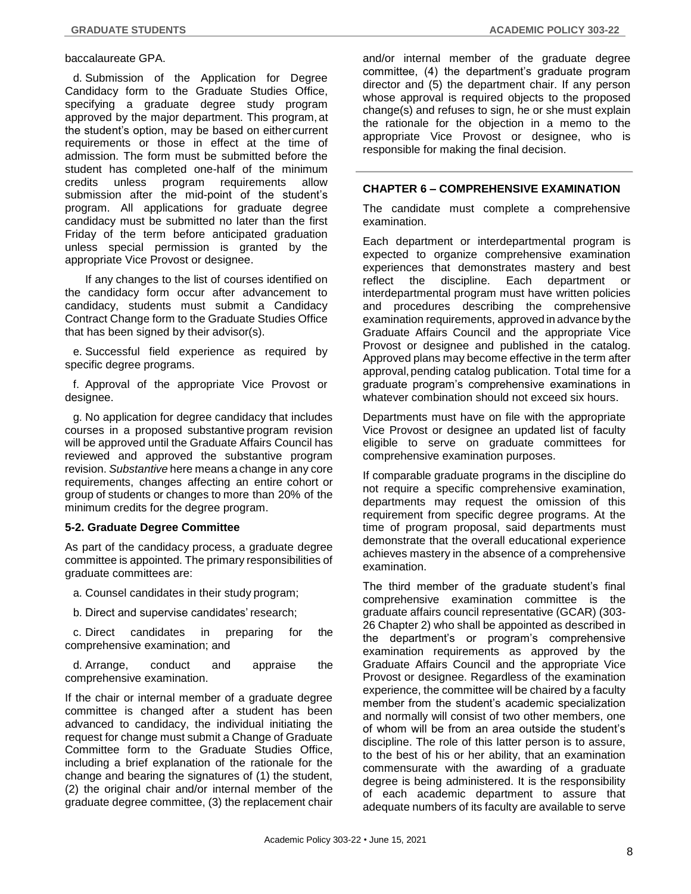#### baccalaureate GPA.

d. Submission of the Application for Degree Candidacy form to the Graduate Studies Office, specifying a graduate degree study program approved by the major department. This program, at the student's option, may be based on either current requirements or those in effect at the time of admission. The form must be submitted before the student has completed one-half of the minimum credits unless program requirements allow submission after the mid-point of the student's program. All applications for graduate degree candidacy must be submitted no later than the first Friday of the term before anticipated graduation unless special permission is granted by the appropriate Vice Provost or designee.

If any changes to the list of courses identified on the candidacy form occur after advancement to candidacy, students must submit a Candidacy Contract Change form to the Graduate Studies Office that has been signed by their advisor(s).

e. Successful field experience as required by specific degree programs.

f. Approval of the appropriate Vice Provost or designee.

g. No application for degree candidacy that includes courses in a proposed substantive program revision will be approved until the Graduate Affairs Council has reviewed and approved the substantive program revision. *Substantive* here means a change in any core requirements, changes affecting an entire cohort or group of students or changes to more than 20% of the minimum credits for the degree program.

# **5-2. Graduate Degree Committee**

As part of the candidacy process, a graduate degree committee is appointed. The primary responsibilities of graduate committees are:

a. Counsel candidates in their study program;

b. Direct and supervise candidates' research;

c. Direct candidates in preparing for the comprehensive examination; and

d. Arrange, conduct and appraise the comprehensive examination.

If the chair or internal member of a graduate degree committee is changed after a student has been advanced to candidacy, the individual initiating the request for change must submit a Change of Graduate Committee form to the Graduate Studies Office, including a brief explanation of the rationale for the change and bearing the signatures of (1) the student, (2) the original chair and/or internal member of the graduate degree committee, (3) the replacement chair and/or internal member of the graduate degree committee, (4) the department's graduate program director and (5) the department chair. If any person whose approval is required objects to the proposed change(s) and refuses to sign, he or she must explain the rationale for the objection in a memo to the appropriate Vice Provost or designee, who is responsible for making the final decision.

# **CHAPTER 6 – COMPREHENSIVE EXAMINATION**

The candidate must complete a comprehensive examination.

Each department or interdepartmental program is expected to organize comprehensive examination experiences that demonstrates mastery and best reflect the discipline. Each department or interdepartmental program must have written policies and procedures describing the comprehensive examination requirements, approved in advance by the Graduate Affairs Council and the appropriate Vice Provost or designee and published in the catalog. Approved plans may become effective in the term after approval, pending catalog publication. Total time for a graduate program's comprehensive examinations in whatever combination should not exceed six hours.

Departments must have on file with the appropriate Vice Provost or designee an updated list of faculty eligible to serve on graduate committees for comprehensive examination purposes.

If comparable graduate programs in the discipline do not require a specific comprehensive examination, departments may request the omission of this requirement from specific degree programs. At the time of program proposal, said departments must demonstrate that the overall educational experience achieves mastery in the absence of a comprehensive examination.

The third member of the graduate student's final comprehensive examination committee is the graduate affairs council representative (GCAR) (303- 26 Chapter 2) who shall be appointed as described in the department's or program's comprehensive examination requirements as approved by the Graduate Affairs Council and the appropriate Vice Provost or designee. Regardless of the examination experience, the committee will be chaired by a faculty member from the student's academic specialization and normally will consist of two other members, one of whom will be from an area outside the student's discipline. The role of this latter person is to assure, to the best of his or her ability, that an examination commensurate with the awarding of a graduate degree is being administered. It is the responsibility of each academic department to assure that adequate numbers of its faculty are available to serve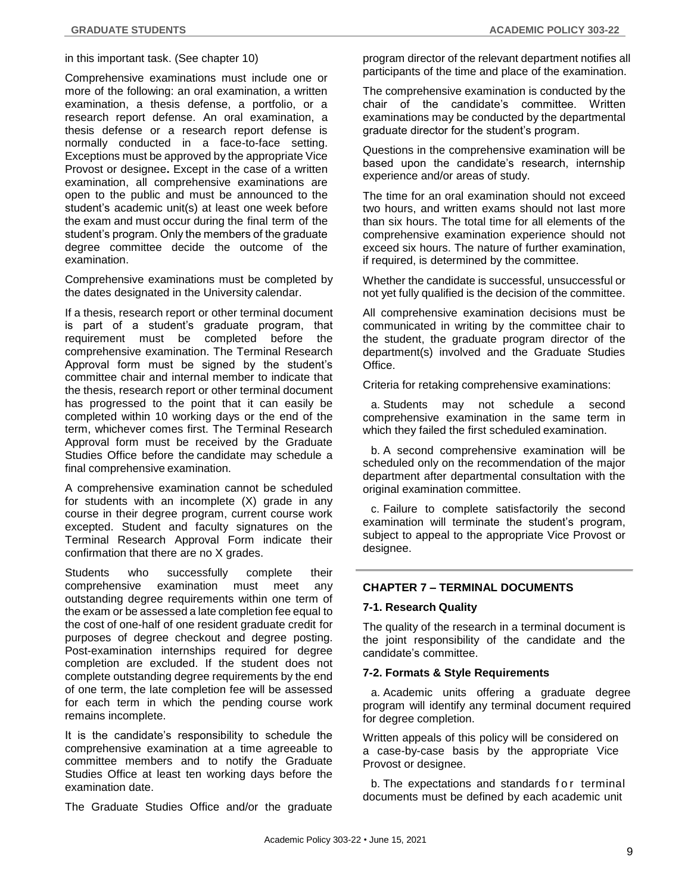### in this important task. (See chapter 10)

Comprehensive examinations must include one or more of the following: an oral examination, a written examination, a thesis defense, a portfolio, or a research report defense. An oral examination, a thesis defense or a research report defense is normally conducted in a face-to-face setting. Exceptions must be approved by the appropriate Vice Provost or designee**.** Except in the case of a written examination, all comprehensive examinations are open to the public and must be announced to the student's academic unit(s) at least one week before the exam and must occur during the final term of the student's program. Only the members of the graduate degree committee decide the outcome of the examination.

Comprehensive examinations must be completed by the dates designated in the University calendar.

If a thesis, research report or other terminal document is part of a student's graduate program, that requirement must be completed before the comprehensive examination. The Terminal Research Approval form must be signed by the student's committee chair and internal member to indicate that the thesis, research report or other terminal document has progressed to the point that it can easily be completed within 10 working days or the end of the term, whichever comes first. The Terminal Research Approval form must be received by the Graduate Studies Office before the candidate may schedule a final comprehensive examination.

A comprehensive examination cannot be scheduled for students with an incomplete (X) grade in any course in their degree program, current course work excepted. Student and faculty signatures on the Terminal Research Approval Form indicate their confirmation that there are no X grades.

Students who successfully complete their comprehensive examination must meet any outstanding degree requirements within one term of the exam or be assessed a late completion fee equal to the cost of one-half of one resident graduate credit for purposes of degree checkout and degree posting. Post-examination internships required for degree completion are excluded. If the student does not complete outstanding degree requirements by the end of one term, the late completion fee will be assessed for each term in which the pending course work remains incomplete.

It is the candidate's responsibility to schedule the comprehensive examination at a time agreeable to committee members and to notify the Graduate Studies Office at least ten working days before the examination date.

The Graduate Studies Office and/or the graduate

program director of the relevant department notifies all participants of the time and place of the examination.

The comprehensive examination is conducted by the chair of the candidate's committee. Written examinations may be conducted by the departmental graduate director for the student's program.

Questions in the comprehensive examination will be based upon the candidate's research, internship experience and/or areas of study.

The time for an oral examination should not exceed two hours, and written exams should not last more than six hours. The total time for all elements of the comprehensive examination experience should not exceed six hours. The nature of further examination, if required, is determined by the committee.

Whether the candidate is successful, unsuccessful or not yet fully qualified is the decision of the committee.

All comprehensive examination decisions must be communicated in writing by the committee chair to the student, the graduate program director of the department(s) involved and the Graduate Studies Office.

Criteria for retaking comprehensive examinations:

a. Students may not schedule a second comprehensive examination in the same term in which they failed the first scheduled examination.

b. A second comprehensive examination will be scheduled only on the recommendation of the major department after departmental consultation with the original examination committee.

c. Failure to complete satisfactorily the second examination will terminate the student's program, subject to appeal to the appropriate Vice Provost or designee.

#### **CHAPTER 7 – TERMINAL DOCUMENTS**

#### **7-1. Research Quality**

The quality of the research in a terminal document is the joint responsibility of the candidate and the candidate's committee.

#### **7-2. Formats & Style Requirements**

a. Academic units offering a graduate degree program will identify any terminal document required for degree completion.

Written appeals of this policy will be considered on a case-by-case basis by the appropriate Vice Provost or designee.

b. The expectations and standards for terminal documents must be defined by each academic unit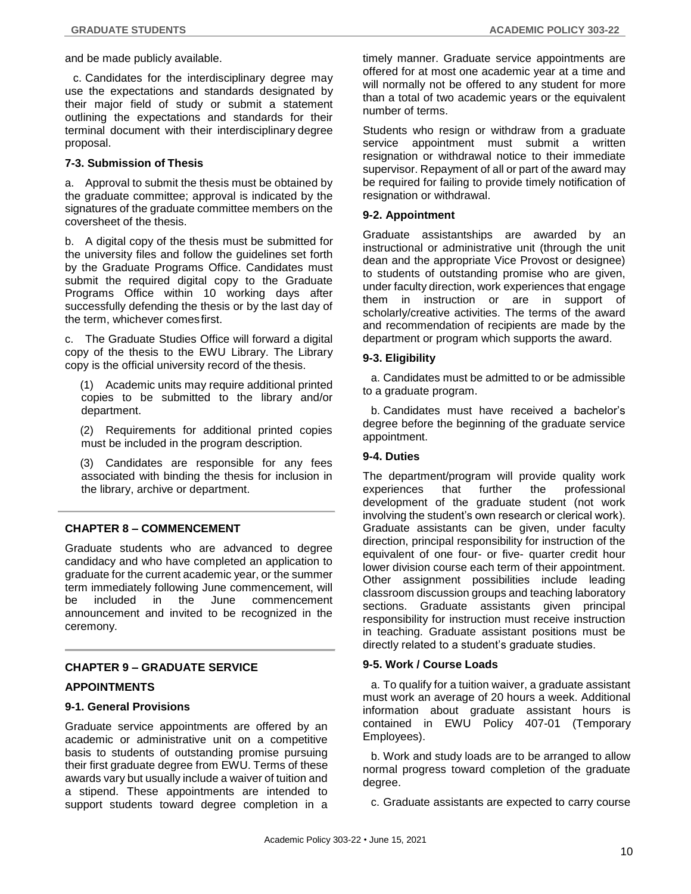and be made publicly available.

c. Candidates for the interdisciplinary degree may use the expectations and standards designated by their major field of study or submit a statement outlining the expectations and standards for their terminal document with their interdisciplinary degree proposal.

# **7-3. Submission of Thesis**

a. Approval to submit the thesis must be obtained by the graduate committee; approval is indicated by the signatures of the graduate committee members on the coversheet of the thesis.

b. A digital copy of the thesis must be submitted for the university files and follow the guidelines set forth by the Graduate Programs Office. Candidates must submit the required digital copy to the Graduate Programs Office within 10 working days after successfully defending the thesis or by the last day of the term, whichever comesfirst.

c. The Graduate Studies Office will forward a digital copy of the thesis to the EWU Library. The Library copy is the official university record of the thesis.

(1) Academic units may require additional printed copies to be submitted to the library and/or department.

(2) Requirements for additional printed copies must be included in the program description.

(3) Candidates are responsible for any fees associated with binding the thesis for inclusion in the library, archive or department.

# **CHAPTER 8 – COMMENCEMENT**

Graduate students who are advanced to degree candidacy and who have completed an application to graduate for the current academic year, or the summer term immediately following June commencement, will be included in the June commencement announcement and invited to be recognized in the ceremony.

# **CHAPTER 9 – GRADUATE SERVICE**

# **APPOINTMENTS**

#### **9-1. General Provisions**

Graduate service appointments are offered by an academic or administrative unit on a competitive basis to students of outstanding promise pursuing their first graduate degree from EWU. Terms of these awards vary but usually include a waiver of tuition and a stipend. These appointments are intended to support students toward degree completion in a

timely manner. Graduate service appointments are offered for at most one academic year at a time and will normally not be offered to any student for more than a total of two academic years or the equivalent number of terms.

Students who resign or withdraw from a graduate service appointment must submit a written resignation or withdrawal notice to their immediate supervisor. Repayment of all or part of the award may be required for failing to provide timely notification of resignation or withdrawal.

#### **9-2. Appointment**

Graduate assistantships are awarded by an instructional or administrative unit (through the unit dean and the appropriate Vice Provost or designee) to students of outstanding promise who are given, under faculty direction, work experiences that engage them in instruction or are in support of scholarly/creative activities. The terms of the award and recommendation of recipients are made by the department or program which supports the award.

### **9-3. Eligibility**

a. Candidates must be admitted to or be admissible to a graduate program.

b. Candidates must have received a bachelor's degree before the beginning of the graduate service appointment.

#### **9-4. Duties**

The department/program will provide quality work experiences that further the professional development of the graduate student (not work involving the student's own research or clerical work). Graduate assistants can be given, under faculty direction, principal responsibility for instruction of the equivalent of one four- or five- quarter credit hour lower division course each term of their appointment. Other assignment possibilities include leading classroom discussion groups and teaching laboratory sections. Graduate assistants given principal responsibility for instruction must receive instruction in teaching. Graduate assistant positions must be directly related to a student's graduate studies.

# **9-5. Work / Course Loads**

a. To qualify for a tuition waiver, a graduate assistant must work an average of 20 hours a week. Additional information about graduate assistant hours is contained in EWU Policy 407-01 (Temporary Employees).

b. Work and study loads are to be arranged to allow normal progress toward completion of the graduate degree.

c. Graduate assistants are expected to carry course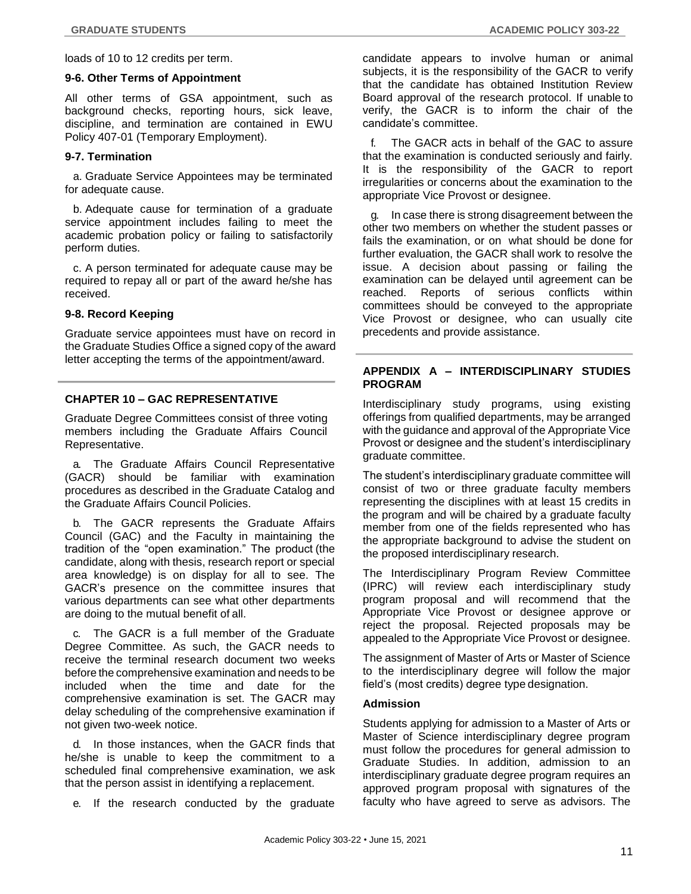loads of 10 to 12 credits per term.

#### **9-6. Other Terms of Appointment**

All other terms of GSA appointment, such as background checks, reporting hours, sick leave, discipline, and termination are contained in EWU Policy 407-01 (Temporary Employment).

# **9-7. Termination**

a. Graduate Service Appointees may be terminated for adequate cause.

b. Adequate cause for termination of a graduate service appointment includes failing to meet the academic probation policy or failing to satisfactorily perform duties.

c. A person terminated for adequate cause may be required to repay all or part of the award he/she has received.

### **9-8. Record Keeping**

Graduate service appointees must have on record in the Graduate Studies Office a signed copy of the award letter accepting the terms of the appointment/award.

# **CHAPTER 10 – GAC REPRESENTATIVE**

Graduate Degree Committees consist of three voting members including the Graduate Affairs Council Representative.

a. The Graduate Affairs Council Representative (GACR) should be familiar with examination procedures as described in the Graduate Catalog and the Graduate Affairs Council Policies.

b. The GACR represents the Graduate Affairs Council (GAC) and the Faculty in maintaining the tradition of the "open examination." The product (the candidate, along with thesis, research report or special area knowledge) is on display for all to see. The GACR's presence on the committee insures that various departments can see what other departments are doing to the mutual benefit of all.

c. The GACR is a full member of the Graduate Degree Committee. As such, the GACR needs to receive the terminal research document two weeks before the comprehensive examination and needs to be included when the time and date for the comprehensive examination is set. The GACR may delay scheduling of the comprehensive examination if not given two-week notice.

d. In those instances, when the GACR finds that he/she is unable to keep the commitment to a scheduled final comprehensive examination, we ask that the person assist in identifying a replacement.

e. If the research conducted by the graduate

candidate appears to involve human or animal subjects, it is the responsibility of the GACR to verify that the candidate has obtained Institution Review Board approval of the research protocol. If unable to verify, the GACR is to inform the chair of the candidate's committee.

The GACR acts in behalf of the GAC to assure that the examination is conducted seriously and fairly. It is the responsibility of the GACR to report irregularities or concerns about the examination to the appropriate Vice Provost or designee.

g. In case there is strong disagreement between the other two members on whether the student passes or fails the examination, or on what should be done for further evaluation, the GACR shall work to resolve the issue. A decision about passing or failing the examination can be delayed until agreement can be reached. Reports of serious conflicts within committees should be conveyed to the appropriate Vice Provost or designee, who can usually cite precedents and provide assistance.

# **APPENDIX A – INTERDISCIPLINARY STUDIES PROGRAM**

Interdisciplinary study programs, using existing offerings from qualified departments, may be arranged with the guidance and approval of the Appropriate Vice Provost or designee and the student's interdisciplinary graduate committee.

The student's interdisciplinary graduate committee will consist of two or three graduate faculty members representing the disciplines with at least 15 credits in the program and will be chaired by a graduate faculty member from one of the fields represented who has the appropriate background to advise the student on the proposed interdisciplinary research.

The Interdisciplinary Program Review Committee (IPRC) will review each interdisciplinary study program proposal and will recommend that the Appropriate Vice Provost or designee approve or reject the proposal. Rejected proposals may be appealed to the Appropriate Vice Provost or designee.

The assignment of Master of Arts or Master of Science to the interdisciplinary degree will follow the major field's (most credits) degree type designation.

# **Admission**

Students applying for admission to a Master of Arts or Master of Science interdisciplinary degree program must follow the procedures for general admission to Graduate Studies. In addition, admission to an interdisciplinary graduate degree program requires an approved program proposal with signatures of the faculty who have agreed to serve as advisors. The